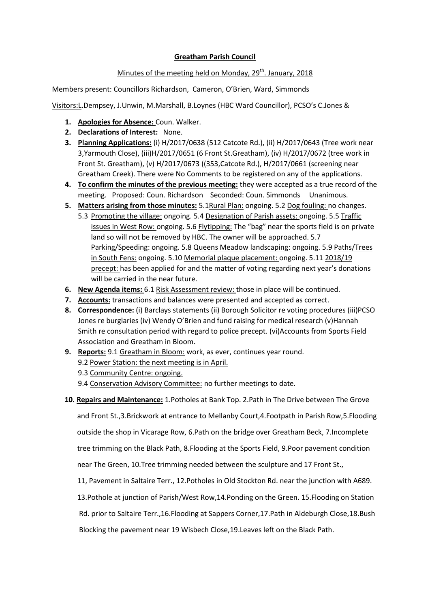## **Greatham Parish Council**

## Minutes of the meeting held on Monday,  $29<sup>th</sup>$ . January, 2018

Members present: Councillors Richardson, Cameron, O'Brien, Ward, Simmonds

Visitors:L.Dempsey, J.Unwin, M.Marshall, B.Loynes (HBC Ward Councillor), PCSO's C.Jones &

- **1. Apologies for Absence:** Coun. Walker.
- **2. Declarations of Interest:** None.
- **3. Planning Applications:** (i) H/2017/0638 (512 Catcote Rd.), (ii) H/2017/0643 (Tree work near 3,Yarmouth Close), (iii)H/2017/0651 (6 Front St.Greatham), (iv) H/2017/0672 (tree work in Front St. Greatham), (v) H/2017/0673 ((353,Catcote Rd.), H/2017/0661 (screening near Greatham Creek). There were No Comments to be registered on any of the applications.
- **4. To confirm the minutes of the previous meeting:** they were accepted as a true record of the meeting. Proposed: Coun. Richardson Seconded: Coun. Simmonds Unanimous.
- **5. Matters arising from those minutes:** 5.1Rural Plan: ongoing. 5.2 Dog fouling: no changes.
	- 5.3 Promoting the village: ongoing. 5.4 Designation of Parish assets: ongoing. 5.5 Traffic issues in West Row: ongoing. 5.6 Flytipping: The "bag" near the sports field is on private land so will not be removed by HBC. The owner will be approached. 5.7 Parking/Speeding: ongoing. 5.8 Queens Meadow landscaping: ongoing. 5.9 Paths/Trees in South Fens: ongoing. 5.10 Memorial plaque placement: ongoing. 5.11 2018/19 precept: has been applied for and the matter of voting regarding next year's donations will be carried in the near future.
- **6. New Agenda items:** 6.1 Risk Assessment review: those in place will be continued.
- **7. Accounts:** transactions and balances were presented and accepted as correct.
- **8. Correspondence:** (i) Barclays statements (ii) Borough Solicitor re voting procedures (iii)PCSO Jones re burglaries (iv) Wendy O'Brien and fund raising for medical research (v)Hannah Smith re consultation period with regard to police precept. (vi)Accounts from Sports Field Association and Greatham in Bloom.
- **9. Reports:** 9.1 Greatham in Bloom: work, as ever, continues year round.
	- 9.2 Power Station: the next meeting is in April.
	- 9.3 Community Centre: ongoing.
	- 9.4 Conservation Advisory Committee: no further meetings to date.
- **10. Repairs and Maintenance:** 1.Potholes at Bank Top. 2.Path in The Drive between The Grove

and Front St.,3.Brickwork at entrance to Mellanby Court,4.Footpath in Parish Row,5.Flooding

outside the shop in Vicarage Row, 6.Path on the bridge over Greatham Beck, 7.Incomplete

tree trimming on the Black Path, 8.Flooding at the Sports Field, 9.Poor pavement condition

near The Green, 10.Tree trimming needed between the sculpture and 17 Front St.,

11, Pavement in Saltaire Terr., 12.Potholes in Old Stockton Rd. near the junction with A689.

13.Pothole at junction of Parish/West Row,14.Ponding on the Green. 15.Flooding on Station

Rd. prior to Saltaire Terr.,16.Flooding at Sappers Corner,17.Path in Aldeburgh Close,18.Bush

Blocking the pavement near 19 Wisbech Close,19.Leaves left on the Black Path.